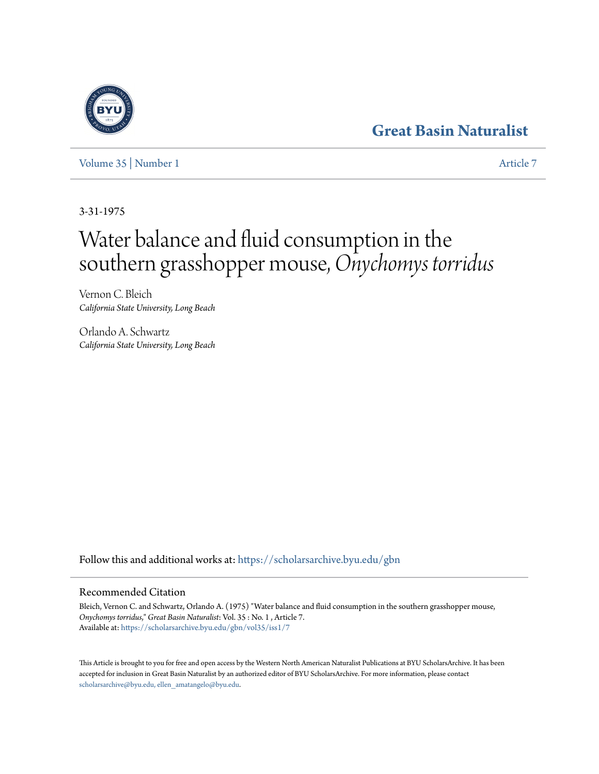## **[Great Basin Naturalist](https://scholarsarchive.byu.edu/gbn?utm_source=scholarsarchive.byu.edu%2Fgbn%2Fvol35%2Fiss1%2F7&utm_medium=PDF&utm_campaign=PDFCoverPages)**

[Volume 35](https://scholarsarchive.byu.edu/gbn/vol35?utm_source=scholarsarchive.byu.edu%2Fgbn%2Fvol35%2Fiss1%2F7&utm_medium=PDF&utm_campaign=PDFCoverPages) | [Number 1](https://scholarsarchive.byu.edu/gbn/vol35/iss1?utm_source=scholarsarchive.byu.edu%2Fgbn%2Fvol35%2Fiss1%2F7&utm_medium=PDF&utm_campaign=PDFCoverPages) [Article 7](https://scholarsarchive.byu.edu/gbn/vol35/iss1/7?utm_source=scholarsarchive.byu.edu%2Fgbn%2Fvol35%2Fiss1%2F7&utm_medium=PDF&utm_campaign=PDFCoverPages)

3-31-1975

# Water balance and fluid consumption in the southern grasshopper mouse,*Onychomys torridus*

Vernon C. Bleich *California State University, Long Beach*

Orlando A. Schwartz *California State University, Long Beach*

Follow this and additional works at: [https://scholarsarchive.byu.edu/gbn](https://scholarsarchive.byu.edu/gbn?utm_source=scholarsarchive.byu.edu%2Fgbn%2Fvol35%2Fiss1%2F7&utm_medium=PDF&utm_campaign=PDFCoverPages)

### Recommended Citation

Bleich, Vernon C. and Schwartz, Orlando A. (1975) "Water balance and fluid consumption in the southern grasshopper mouse, *Onychomys torridus*," *Great Basin Naturalist*: Vol. 35 : No. 1 , Article 7. Available at: [https://scholarsarchive.byu.edu/gbn/vol35/iss1/7](https://scholarsarchive.byu.edu/gbn/vol35/iss1/7?utm_source=scholarsarchive.byu.edu%2Fgbn%2Fvol35%2Fiss1%2F7&utm_medium=PDF&utm_campaign=PDFCoverPages)

This Article is brought to you for free and open access by the Western North American Naturalist Publications at BYU ScholarsArchive. It has been accepted for inclusion in Great Basin Naturalist by an authorized editor of BYU ScholarsArchive. For more information, please contact [scholarsarchive@byu.edu, ellen\\_amatangelo@byu.edu.](mailto:scholarsarchive@byu.edu,%20ellen_amatangelo@byu.edu)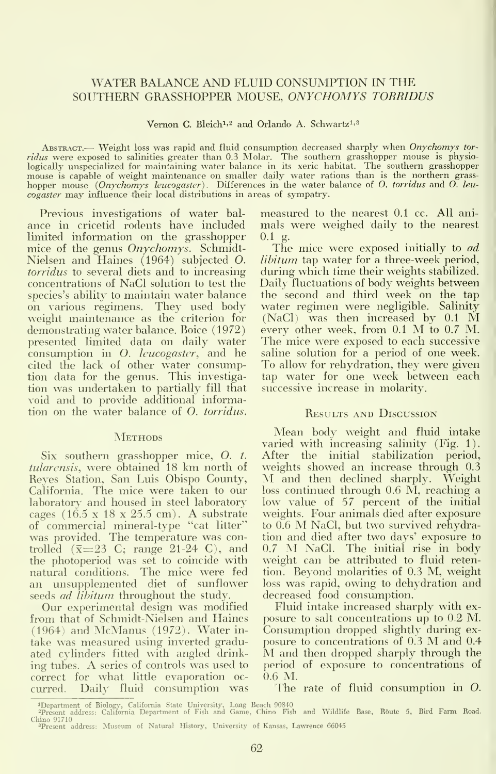#### WATER BALANCE AND FLUID CONSUMPTION IN THE SOUTHERN GRASSHOPPER MOUSE, ONYCHOMYS TORRIDUS

Vernon C. Bleich<sup>1,2</sup> and Orlando A. Schwartz<sup>1,3</sup>

ABSTRACT.— Weight loss was rapid and fluid consumption decreased sharply when Onychomys torridus were exposed to salinities greater than 0.3 Molar. The southern grasshopper mouse is physio-logically unspecialized for maintaining water balance in its xeric habitat. The southern grasshopper mouse is capable of weight maintenance on smaller daily water rations than is the northern grass-<br>hopper mouse (Onychomys leucogaster). Differences in the water balance of O. torridus and O. leucogaster may influence their local distributions in areas of sympatry.

Previous investigations of water bal ance in cricetid rodents have included mals<br>limited information on the grasshopper 0.1 g. limited information on the grasshopper mice of the genus Onychomys. Schmidt-Nielsen and Haines (1964) subjected O. torridus to several diets and to increasing concentrations of NaCl solution to test the species's ability to maintain water balance on various regimens. They used body weight maintenance as the criterion for demonstrating water balance. Boice (1972) presented limited data on daily water consumption in O. leucogaster, and he cited the lack of other water consumption data for the genus. This investiga tion was undertaken to partially fill that void and to provide additional information on the water balance of O. torridus.

#### **METHODS**

tularensis, were obtained <sup>18</sup> km north of Reyes Station, San Luis Obispo County, California. The mice were taken to our laboratory and housed in steel laboratory cages (16.5 <sup>x</sup> <sup>18</sup> <sup>x</sup> 25.5 cm). A substrate of commercial mineral-type "cat litter" was provided. The temperature was controlled  $(\bar{x}=23 \text{ C}; \text{ range } 21-24 \text{ C})$ , and the photoperiod was set to coincide with natural conditions. The mice were fed an unsupplemented diet of sunflower seeds *ad libitum* throughout the study.

Our experimental design was modified from that of Schmidt-Nielsen and Haines (1964) and McManus (1972). Water in take was measured using inverted graduated cylinders fitted with angled drink- M and then dropped sharply through the ing tubes. A series of controls was used to correct for what little evaporation oc curred. Daily fluid consumption was

measured to the nearest 0.1 cc. All ani mals were weighed daily to the nearest

The mice were exposed initially to *ad* libitum tap water for a three-week period, during which time their weights stabilized. Daily fluctuations of body weights between the second and third week on the tap water regimen were negligible. Salinity (NaCl) was then increased by 0.1 M every other week, from 0.1 M to 0.7 M. The mice were exposed to each successive saline solution for a period of one week. To allow for rehydration, they were given tap water for one week between each successive increase in molarity.

#### Results and Discussion

Six southern grasshopper mice, O. t. After the initial stabilization period, larensis, were obtained 18 km north of weights showed an increase through 0.3 Mean body weight and fluid intake varied with increasing salinity (Fig. 1). After the initial stabilization period, M and then declined sharply. Weight loss continued through 0.6 M, reaching <sup>a</sup> low value of 57 percent of the initial weights. Four animals died after exposure to 0.6 M NaCl, but two survived rehydration and died after two days' exposure to 0.7 M NaCl. The initial rise in body weight can be attributed to fluid retention. Beyond molarities of 0.3 M, weight loss was rapid, owing to dehydration and decreased food consumption.

> Fluid intake increased sharply with ex posure to salt concentrations up to 0.2 M. Consumption dropped slightly during ex posure to concentrations of  $0.3$  M and  $0.4$ period of exposure to concentrations of 0.6 M.

The rate of fluid consumption in O.

<sup>&</sup>quot;Department of Biology, California State University, Long Beach 90840<br>"Present address: California Department of Fish and Game, Chino Fish and Wildlife Base, Route 5, Bird Farm Ro Chino 91710

<sup>&</sup>lt;sup>3</sup>Present address: Museum of Natural History, University of Kansas, Lawrence 66045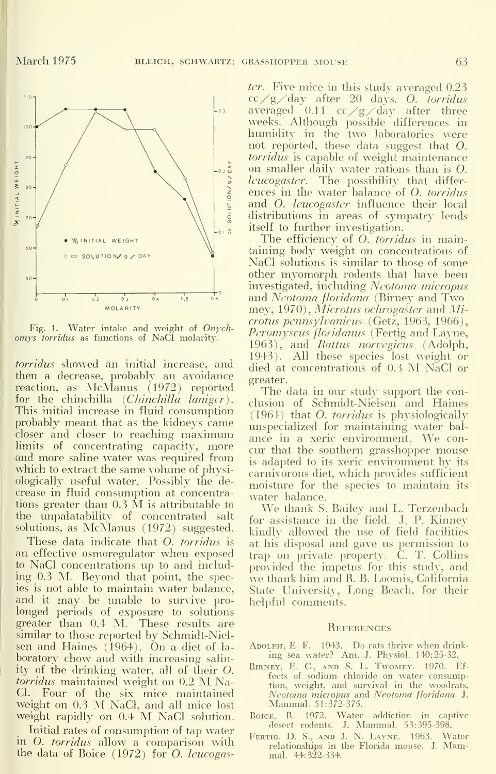

Fig. 1. Water intake and weight of Onych omys torridus as functions of NaCl molarity.

torridus showed an initial increase, and then a decrease, probably an avoidance <sub>gres</sub><br>reaction, as McManus (1972) reported <sup>1</sup> for the chinchilla  $(Chinchilla \space language)$ . This initial increase in fluid consumption probably meant that as the kidneys came closer and closer to reaching maximum limits of concentrating capacity, more and more saline water was required from which to extract the same volume of physiologically useful water. Possibly the de crease in fluid consumption at concentracrease in fluid consumption at concentra-<br>tions greater than  $0.3 \text{ M}$  is attributable to  $\frac{\text{W}}{\text{W}}$  thank S the unpalatability of concentrated salt solutions, as McManus (1972) suggested.

These data indicate that O. torridus is an effective osmoregulator when exposed to NaCl concentrations up to and includ ing 0.3 M. Beyond that point, the species is not able to maintain water balance, and it may be unable to survive prolonged periods of exposure to solutions greater than 0.4 M. These results are similar to those reported by Schmidt-Nielsen and Haines (1964). On <sup>a</sup> diet of la boratory chow and with increasing salinity of the drinking water, all of their O. torridus maintained weight on 0.2 M Na-Cl. Four of the six mice maintained Neotoma micropus an weight on 0.3 M NaCl, and all mice lost Mammal. 51:372-375. weight rapidly on 0.4 M NaCl solution.

Initial rates of consumption of tap water in O. torridus allow a comparison with the data of Boice (1972) for O. leucogaster. Five mice in this study averaged 0.23 cc  $/g$  day after 20 days. O. torridus averaged  $0.11 \text{ cc}/g$  day after three weeks. Although possible differences in humidity in the two laboratories were not reported, these data suggest that O. torridus is capable of weight maintenance on smaller daily water rations than is O. leucogaster. The possibility that differences in the water balance of O. torridus and O. *leucogaster* influence their local distributions in areas of sympatry lends itself to further investigation.

The efficiency of *O. torridus* in maintaining body weight on concentrations of NaCl solutions is similar to those of some other myomorph rodents that have been investigated, including Neotoma micropus and Neotoma floridana (Birney and Twomey, 1970), Microtus ochrogaster and Microtus pennsylvanicus (Getz, 1963, 1966), *Peromyscus floridanus* (Fertig and Layne, 1963), and Rattus norvegicus (Adolph, 1943). All these species lost weight or died at concentrations of 0.3 M NaCl or greater.

The data in our study support the conclusion of Schmidt-Nielsen and Haines (1964) that O. torridus is physiologically unspecialized for maintaining water bal ance in <sup>a</sup> xeric environment. We con cur that the southern grasshopper mouse is adapted to its xeric environment by its carnivorous diet, which provides sufficient moisture for the species to maintain its

We thank S. Bailey and L. Terzenbach for assistance in the field. J. P. Kinney kindly allowed the use of field facilities at his disposal and gave us permission to trap on private property. C. T. Collins provided the impetus for this study, and we thank him and R. B. Loomis, California State University, Long Beach, for their helpful comments.

#### **REFERENCES**

- Adolph, E. F. 1943. Do rats thrive when drink- ing sea water? Am. J. Physiol. 140:25-32.
- BIRNEY, E. C., AND S. L. TWOMEY. 1970. Ef-<br>fects of sodium chloride on water consumption, weight, and survival in the woodrats, Neotoma micropus and Neotoma floridana. J.
- Boice, R. 1972. Water addiction in captive desert rodents. J. Mammal. 53:395-398.
- Fertig. D. S., and J. N. Layne. 1963. Water relationships in the Florida mouse. J. Mammal. 44:322-334.